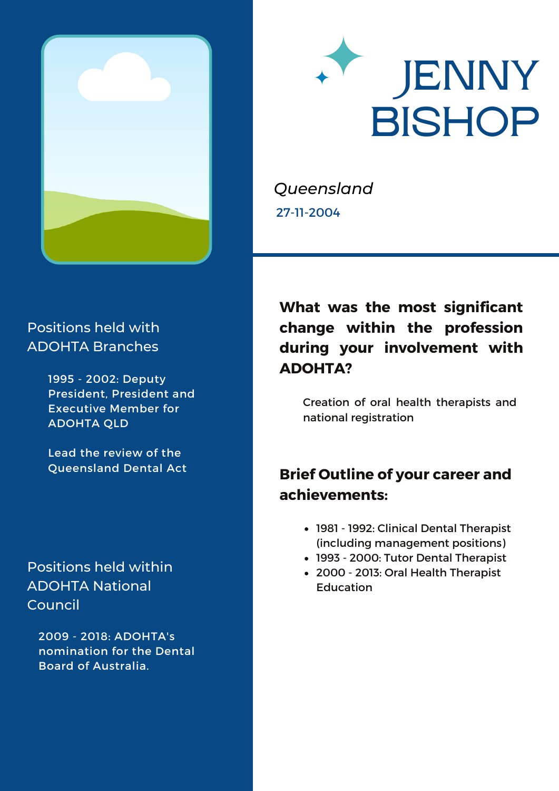



*Queensland* 27-11-2004

#### Positions held with ADOHTA Branches

1995 - 2002: Deputy President, President and Executive Member for ADOHTA QLD

Lead the review of the Queensland Dental Act

#### Positions held within ADOHTA National Council

2009 - 2018: ADOHTA's nomination for the Dental Board of Australia.

# **What was the most significant change within the profession during your involvement with ADOHTA?**

Creation of oral health therapists and national registration

# **Brief Outline of your career and achievements:**

- 1981 1992: Clinical Dental Therapist (including management positions)
- 1993 2000: Tutor Dental Therapist
- 2000 2013: Oral Health Therapist **Education**